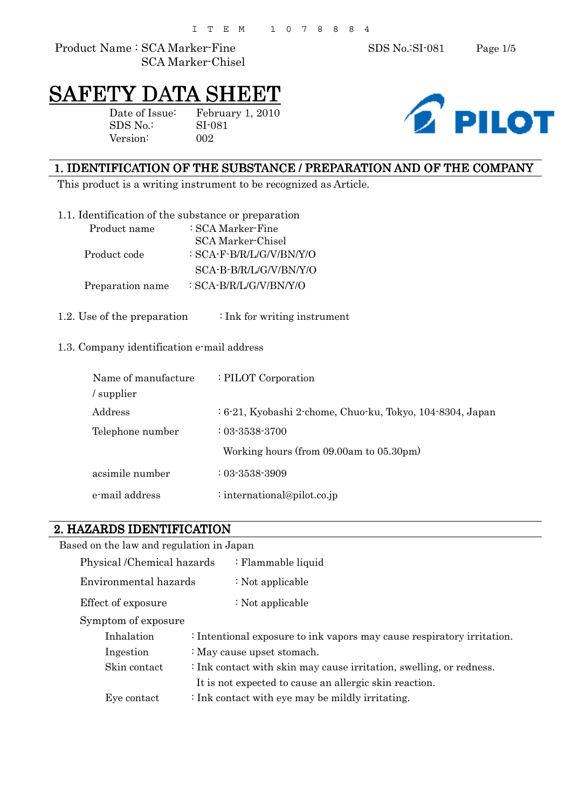Product Name : SCA Marker-Fine SDS No.:SI-081 Page 1/5 SCA Marker-Chisel

# SAFETY DATA SHEET

Version: 002

Date of Issue: February 1, 2010 SDS No.: SI-081



#### 1. IDENTIFICATION OF THE SUBSTANCE / PREPARATION AND OF THE COMPANY

This product is a writing instrument to be recognized as Article.

|  |  |  |  | 1.1. Identification of the substance or preparation |
|--|--|--|--|-----------------------------------------------------|
|--|--|--|--|-----------------------------------------------------|

| Product name     | : SCA Marker-Fine        |
|------------------|--------------------------|
|                  | SCA Marker-Chisel        |
| Product code     | : SCA-F-B/R/L/G/V/BN/Y/O |
|                  | SCA-B-B/R/L/G/V/BN/Y/O   |
| Preparation name | : SCA-B/R/L/G/V/BN/Y/O   |

1.2. Use of the preparation : Ink for writing instrument

#### 1.3. Company identification e-mail address

| Name of manufacture<br>supplier | : PILOT Corporation                                       |
|---------------------------------|-----------------------------------------------------------|
| Address                         | : 6-21, Kyobashi 2-chome, Chuo-ku, Tokyo, 104-8304, Japan |
| Telephone number                | $: 03 - 3538 - 3700$                                      |
|                                 | Working hours (from 09.00am to 05.30pm)                   |
| acsimile number                 | $: 03 - 3538 - 3909$                                      |
| e-mail address                  | : international@pilot.co.jp                               |

#### 2. HAZARDS IDENTIFICATION

|                     | Based on the law and regulation in Japan                                   |                                                                        |  |  |  |
|---------------------|----------------------------------------------------------------------------|------------------------------------------------------------------------|--|--|--|
|                     | Physical /Chemical hazards                                                 | : Flammable liquid                                                     |  |  |  |
|                     | Environmental hazards                                                      | : Not applicable                                                       |  |  |  |
|                     | Effect of exposure                                                         | : Not applicable                                                       |  |  |  |
| Symptom of exposure |                                                                            |                                                                        |  |  |  |
|                     | Inhalation                                                                 | : Intentional exposure to ink vapors may cause respiratory irritation. |  |  |  |
|                     | Ingestion                                                                  | : May cause upset stomach.                                             |  |  |  |
| Skin contact        |                                                                            | : Ink contact with skin may cause irritation, swelling, or redness.    |  |  |  |
|                     | It is not expected to cause an allergic skin reaction.                     |                                                                        |  |  |  |
|                     | $\therefore$ Ink contact with eye may be mildly irritating.<br>Eye contact |                                                                        |  |  |  |
|                     |                                                                            |                                                                        |  |  |  |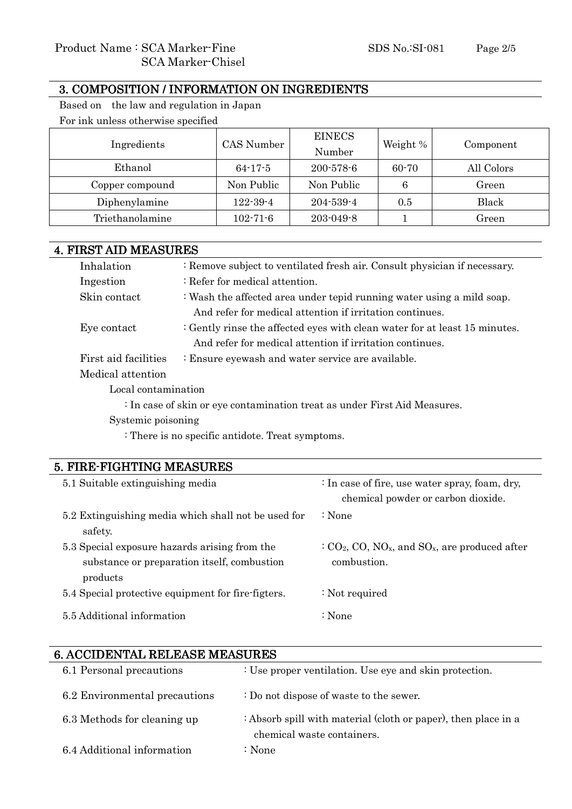#### 3. COMPOSITION / INFORMATION ON INGREDIENTS

Based on the law and regulation in Japan For ink unless otherwise specified

| Ingredients     | CAS Number     | <b>EINECS</b><br>Number | Weight % | Component  |
|-----------------|----------------|-------------------------|----------|------------|
| Ethanol         | $64 - 17 - 5$  | $200 - 578 - 6$         | 60-70    | All Colors |
| Copper compound | Non Public     | Non Public              | 6        | Green      |
| Diphenylamine   | $122 - 39 - 4$ | $204 - 539 - 4$         | 0.5      | Black      |
| Triethanolamine | $102 - 71 - 6$ | $203 - 049 - 8$         |          | Green      |

|                      | <b>4. FIRST AID MEASURES</b>                                               |  |  |
|----------------------|----------------------------------------------------------------------------|--|--|
| Inhalation           | : Remove subject to ventilated fresh air. Consult physician if necessary.  |  |  |
| Ingestion            | : Refer for medical attention.                                             |  |  |
| Skin contact         | : Wash the affected area under tepid running water using a mild soap.      |  |  |
|                      | And refer for medical attention if irritation continues.                   |  |  |
| Eye contact          | : Gently rinse the affected eyes with clean water for at least 15 minutes. |  |  |
|                      | And refer for medical attention if irritation continues.                   |  |  |
| First aid facilities | : Ensure eyewash and water service are available.                          |  |  |
| Medical attention    |                                                                            |  |  |
| Local contamination  |                                                                            |  |  |

: In case of skin or eye contamination treat as under First Aid Measures.

Systemic poisoning

: There is no specific antidote. Treat symptoms.

#### 5. FIRE-FIGHTING MEASURES

| 5.1 Suitable extinguishing media                                                                         | : In case of fire, use water spray, foam, dry,<br>chemical powder or carbon dioxide.                  |
|----------------------------------------------------------------------------------------------------------|-------------------------------------------------------------------------------------------------------|
| 5.2 Extinguishing media which shall not be used for<br>safety.                                           | $\therefore$ None                                                                                     |
| 5.3 Special exposure hazards arising from the<br>substance or preparation itself, combustion<br>products | $C_2$ CO <sub>2</sub> , CO, NO <sub>x</sub> , and SO <sub>x</sub> , are produced after<br>combustion. |
| 5.4 Special protective equipment for fire-figters.                                                       | : Not required                                                                                        |
| 5.5 Additional information                                                                               | $: \mathbf{None}$                                                                                     |

## 6. ACCIDENTAL RELEASE MEASURES 6.1 Personal precautions : Use proper ventilation. Use eye and skin protection. 6.2 Environmental precautions : Do not dispose of waste to the sewer. 6.3 Methods for cleaning up : Absorb spill with material (cloth or paper), then place in a chemical waste containers. 6.4 Additional information : None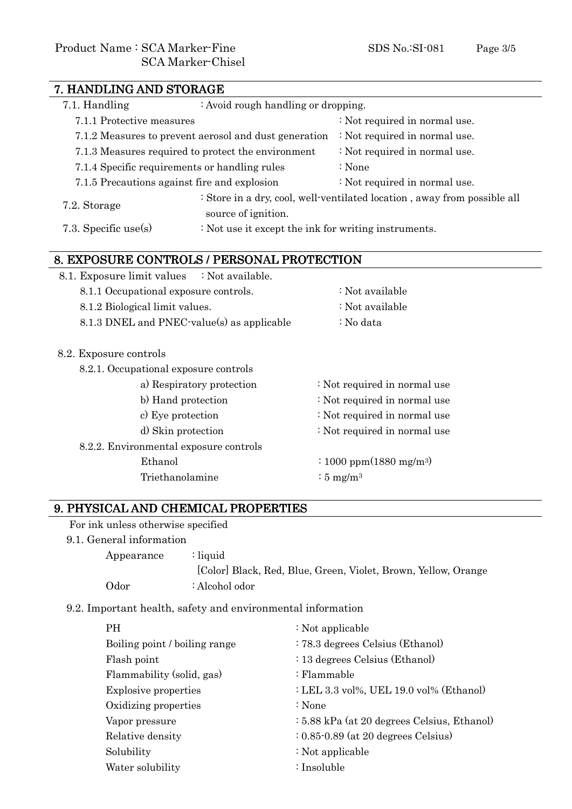| 7. HANDLING AND STORAGE                                                                |                                                                                                 |  |  |
|----------------------------------------------------------------------------------------|-------------------------------------------------------------------------------------------------|--|--|
| 7.1. Handling<br>: Avoid rough handling or dropping.                                   |                                                                                                 |  |  |
| 7.1.1 Protective measures                                                              | : Not required in normal use.                                                                   |  |  |
| 7.1.2 Measures to prevent aerosol and dust generation<br>: Not required in normal use. |                                                                                                 |  |  |
| : Not required in normal use.<br>7.1.3 Measures required to protect the environment    |                                                                                                 |  |  |
| 7.1.4 Specific requirements or handling rules<br>: None                                |                                                                                                 |  |  |
| 7.1.5 Precautions against fire and explosion<br>: Not required in normal use.          |                                                                                                 |  |  |
| 7.2. Storage                                                                           | : Store in a dry, cool, well-ventilated location, away from possible all<br>source of ignition. |  |  |
| 7.3. Specific use $(s)$                                                                | : Not use it except the ink for writing instruments.                                            |  |  |

### 8. EXPOSURE CONTROLS / PERSONAL PROTECTION

| 8.1. Exposure limit values : Not available. |                           |                                                                                           |
|---------------------------------------------|---------------------------|-------------------------------------------------------------------------------------------|
| 8.1.1 Occupational exposure controls.       |                           | : Not available                                                                           |
| 8.1.2 Biological limit values.              |                           | : Not available                                                                           |
| 8.1.3 DNEL and PNEC-value(s) as applicable  |                           | : No data                                                                                 |
| 8.2. Exposure controls                      |                           |                                                                                           |
| 8.2.1. Occupational exposure controls       |                           |                                                                                           |
|                                             | a) Respiratory protection | : Not required in normal use                                                              |
| b) Hand protection                          |                           | : Not required in normal use                                                              |
| c) Eye protection                           |                           | : Not required in normal use                                                              |
| d) Skin protection                          |                           | : Not required in normal use                                                              |
| 8.2.2. Environmental exposure controls      |                           |                                                                                           |
| Ethanol                                     |                           | $\frac{(1000 \text{ ppm}(1880 \text{ mg/m}^3))}{(1000 \text{ ppm}(1880 \text{ mg/m}^3))}$ |
| Triethanolamine                             |                           | : $5 \text{ mg/m}^3$                                                                      |
|                                             |                           |                                                                                           |

#### 9. PHYSICAL AND CHEMICAL PROPERTIES

For ink unless otherwise specified

9.1. General information

| Appearance | : liquid                                                       |
|------------|----------------------------------------------------------------|
|            | [Color] Black, Red, Blue, Green, Violet, Brown, Yellow, Orange |
| Odor       | : Alcohol odor                                                 |

9.2. Important health, safety and environmental information

| <b>PH</b>                     | : Not applicable                            |
|-------------------------------|---------------------------------------------|
| Boiling point / boiling range | : 78.3 degrees Celsius (Ethanol)            |
| Flash point                   | : 13 degrees Celsius (Ethanol)              |
| Flammability (solid, gas)     | : Flammable                                 |
| <b>Explosive properties</b>   | : LEL 3.3 vol%, UEL 19.0 vol% (Ethanol)     |
| Oxidizing properties          | : None                                      |
| Vapor pressure                | : 5.88 kPa (at 20 degrees Celsius, Ethanol) |
| Relative density              | $: 0.85 - 0.89$ (at 20 degrees Celsius)     |
| Solubility                    | : Not applicable                            |
| Water solubility              | : Insoluble                                 |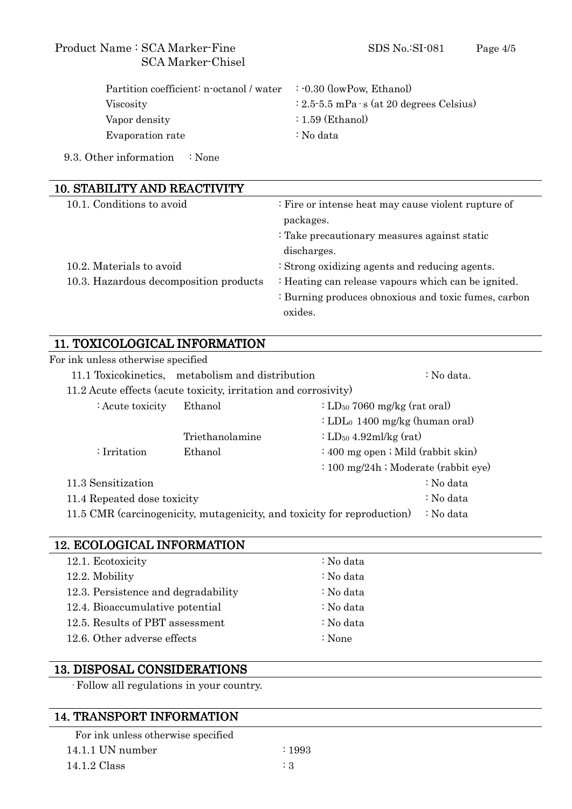#### Product Name : SCA Marker-Fine SDS No.:SI-081 Page 4/5 SCA Marker-Chisel

| Partition coefficient: n-octanol / water : 0.30 (lowPow, Ethanol) |                                                           |
|-------------------------------------------------------------------|-----------------------------------------------------------|
| <b>Viscosity</b>                                                  | $\div 2.5 \div 5.5$ mPa $\cdot$ s (at 20 degrees Celsius) |
| Vapor density                                                     | $: 1.59$ (Ethanol)                                        |
| Evaporation rate                                                  | : No data                                                 |

9.3. Other information : None

| <b>10. STABILITY AND REACTIVITY</b>    |                                                      |  |
|----------------------------------------|------------------------------------------------------|--|
| 10.1. Conditions to avoid              | : Fire or intense heat may cause violent rupture of  |  |
|                                        | packages.                                            |  |
|                                        | : Take precautionary measures against static         |  |
|                                        | discharges.                                          |  |
| 10.2. Materials to avoid               | : Strong oxidizing agents and reducing agents.       |  |
| 10.3. Hazardous decomposition products | : Heating can release vapours which can be ignited.  |  |
|                                        | : Burning produces obnoxious and toxic fumes, carbon |  |
|                                        | oxides.                                              |  |
|                                        |                                                      |  |

#### 11. TOXICOLOGICAL INFORMATION

| For ink unless otherwise specified                                                   |                                                  |                                            |  |  |
|--------------------------------------------------------------------------------------|--------------------------------------------------|--------------------------------------------|--|--|
|                                                                                      | 11.1 Toxicokinetics, metabolism and distribution | $:$ No data.                               |  |  |
| 11.2 Acute effects (acute toxicity, irritation and corrosivity)                      |                                                  |                                            |  |  |
| : Acute toxicity                                                                     | Ethanol                                          | : $LD_{50}$ 7060 mg/kg (rat oral)          |  |  |
|                                                                                      |                                                  | : LDL <sub>0</sub> 1400 mg/kg (human oral) |  |  |
|                                                                                      | Triethanolamine                                  | : LD <sub>50</sub> 4.92ml/kg (rat)         |  |  |
| $:$ Irritation                                                                       | Ethanol                                          | $: 400$ mg open; Mild (rabbit skin)        |  |  |
|                                                                                      |                                                  | $\div 100$ mg/24h ; Moderate (rabbit eye)  |  |  |
| 11.3 Sensitization                                                                   |                                                  | : No data                                  |  |  |
| 11.4 Repeated dose toxicity                                                          |                                                  | : No data                                  |  |  |
| 11.5 CMR (carcinogenicity, mutagenicity, and toxicity for reproduction)<br>: No data |                                                  |                                            |  |  |

### 12. ECOLOGICAL INFORMATION

| 12.1. Ecotoxicity                   | : No data         |
|-------------------------------------|-------------------|
| 12.2. Mobility                      | : No data         |
| 12.3. Persistence and degradability | : No data         |
| 12.4. Bioaccumulative potential     | : No data         |
| 12.5. Results of PBT assessment     | : No data         |
| 12.6. Other adverse effects         | $\therefore$ None |
|                                     |                   |

#### 13. DISPOSAL CONSIDERATIONS

Follow all regulations in your country.

#### 14. TRANSPORT INFORMATION

| For ink unless otherwise specified |  |
|------------------------------------|--|
| $14.1.1$ UN number                 |  |

 $14.1.2 \text{ Class}$  : 3